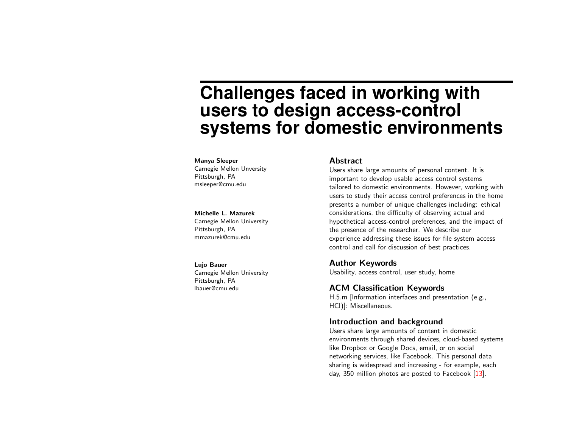# **Challenges faced in working with users to design access-control systems for domestic environments**

#### Manya Sleeper

Carnegie Mellon Unversity Pittsburgh, PA msleeper@cmu.edu

#### Michelle L. Mazurek

Carnegie Mellon University Pittsburgh, PA mmazurek@cmu.edu

#### Lujo Bauer

Carnegie Mellon University Pittsburgh, PA lbauer@cmu.edu

#### Abstract

Users share large amounts of personal content. It is important to develop usable access control systems tailored to domestic environments. However, working with users to study their access control preferences in the home presents a number of unique challenges including: ethical considerations, the difficulty of observing actual and hypothetical access-control preferences, and the impact of the presence of the researcher. We describe our experience addressing these issues for file system access control and call for discussion of best practices.

## Author Keywords

Usability, access control, user study, home

#### ACM Classification Keywords

H.5.m [Information interfaces and presentation (e.g., HCI)]: Miscellaneous.

## Introduction and background

Users share large amounts of content in domestic environments through shared devices, cloud-based systems like Dropbox or Google Docs, email, or on social networking services, like Facebook. This personal data sharing is widespread and increasing - for example, each day, 350 million photos are posted to Facebook [\[13\]](#page-4-0).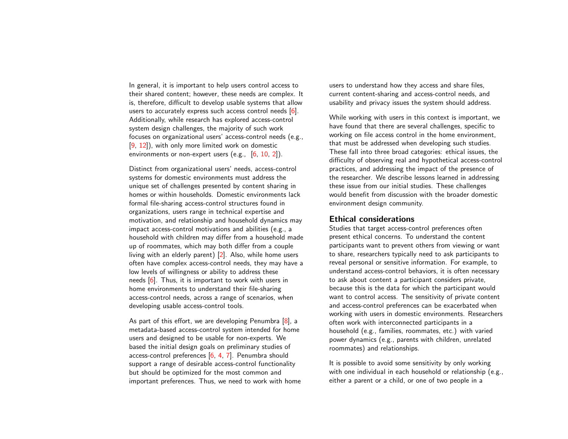In general, it is important to help users control access to their shared content; however, these needs are complex. It is, therefore, difficult to develop usable systems that allow users to accurately express such access control needs [\[6\]](#page-4-1). Additionally, while research has explored access-control system design challenges, the majority of such work focuses on organizational users' access-control needs (e.g., [\[9,](#page-4-2) [12\]](#page-4-3)), with only more limited work on domestic environments or non-expert users (e.g., [\[6,](#page-4-1) [10,](#page-4-4) [2\]](#page-4-5)).

Distinct from organizational users' needs, access-control systems for domestic environments must address the unique set of challenges presented by content sharing in homes or within households. Domestic environments lack formal file-sharing access-control structures found in organizations, users range in technical expertise and motivation, and relationship and household dynamics may impact access-control motivations and abilities (e.g., a household with children may differ from a household made up of roommates, which may both differ from a couple living with an elderly parent) [\[2\]](#page-4-5). Also, while home users often have complex access-control needs, they may have a low levels of willingness or ability to address these needs [\[6\]](#page-4-1). Thus, it is important to work with users in home environments to understand their file-sharing access-control needs, across a range of scenarios, when developing usable access-control tools.

As part of this effort, we are developing Penumbra [\[8\]](#page-4-6), a metadata-based access-control system intended for home users and designed to be usable for non-experts. We based the initial design goals on preliminary studies of access-control preferences [\[6,](#page-4-1) [4,](#page-4-7) [7\]](#page-4-8). Penumbra should support a range of desirable access-control functionality but should be optimized for the most common and important preferences. Thus, we need to work with home users to understand how they access and share files, current content-sharing and access-control needs, and usability and privacy issues the system should address.

While working with users in this context is important, we have found that there are several challenges, specific to working on file access control in the home environment, that must be addressed when developing such studies. These fall into three broad categories: ethical issues, the difficulty of observing real and hypothetical access-control practices, and addressing the impact of the presence of the researcher. We describe lessons learned in addressing these issue from our initial studies. These challenges would benefit from discussion with the broader domestic environment design community.

#### Ethical considerations

Studies that target access-control preferences often present ethical concerns. To understand the content participants want to prevent others from viewing or want to share, researchers typically need to ask participants to reveal personal or sensitive information. For example, to understand access-control behaviors, it is often necessary to ask about content a participant considers private, because this is the data for which the participant would want to control access. The sensitivity of private content and access-control preferences can be exacerbated when working with users in domestic environments. Researchers often work with interconnected participants in a household (e.g., families, roommates, etc.) with varied power dynamics (e.g., parents with children, unrelated roommates) and relationships.

It is possible to avoid some sensitivity by only working with one individual in each household or relationship (e.g., either a parent or a child, or one of two people in a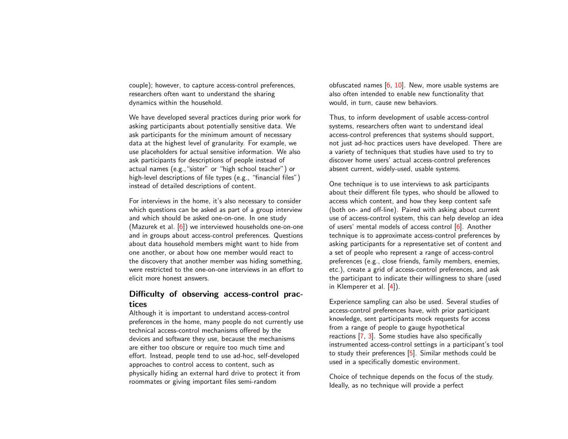couple); however, to capture access-control preferences, researchers often want to understand the sharing dynamics within the household.

We have developed several practices during prior work for asking participants about potentially sensitive data. We ask participants for the minimum amount of necessary data at the highest level of granularity. For example, we use placeholders for actual sensitive information. We also ask participants for descriptions of people instead of actual names (e.g.,"sister" or "high school teacher") or high-level descriptions of file types (e.g., "financial files") instead of detailed descriptions of content.

For interviews in the home, it's also necessary to consider which questions can be asked as part of a group interview and which should be asked one-on-one. In one study (Mazurek et al. [\[6\]](#page-4-1)) we interviewed households one-on-one and in groups about access-control preferences. Questions about data household members might want to hide from one another, or about how one member would react to the discovery that another member was hiding something, were restricted to the one-on-one interviews in an effort to elicit more honest answers.

# Difficulty of observing access-control practices

Although it is important to understand access-control preferences in the home, many people do not currently use technical access-control mechanisms offered by the devices and software they use, because the mechanisms are either too obscure or require too much time and effort. Instead, people tend to use ad-hoc, self-developed approaches to control access to content, such as physically hiding an external hard drive to protect it from roommates or giving important files semi-random

obfuscated names  $[6, 10]$  $[6, 10]$  $[6, 10]$ . New, more usable systems are also often intended to enable new functionality that would, in turn, cause new behaviors.

Thus, to inform development of usable access-control systems, researchers often want to understand ideal access-control preferences that systems should support, not just ad-hoc practices users have developed. There are a variety of techniques that studies have used to try to discover home users' actual access-control preferences absent current, widely-used, usable systems.

One technique is to use interviews to ask participants about their different file types, who should be allowed to access which content, and how they keep content safe (both on- and off-line). Paired with asking about current use of access-control system, this can help develop an idea of users' mental models of access control [\[6\]](#page-4-1). Another technique is to approximate access-control preferences by asking participants for a representative set of content and a set of people who represent a range of access-control preferences (e.g., close friends, family members, enemies, etc.), create a grid of access-control preferences, and ask the participant to indicate their willingness to share (used in Klemperer et al. [\[4\]](#page-4-7)).

Experience sampling can also be used. Several studies of access-control preferences have, with prior participant knowledge, sent participants mock requests for access from a range of people to gauge hypothetical reactions [\[7,](#page-4-8) [3\]](#page-4-9). Some studies have also specifically instrumented access-control settings in a participant's tool to study their preferences  $[5]$ . Similar methods could be used in a specifically domestic environment.

Choice of technique depends on the focus of the study. Ideally, as no technique will provide a perfect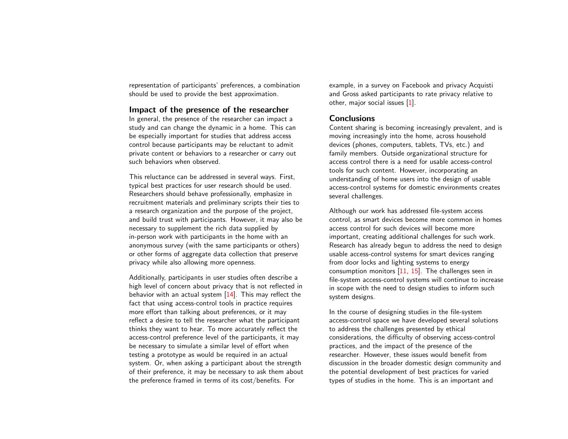representation of participants' preferences, a combination should be used to provide the best approximation.

## Impact of the presence of the researcher

In general, the presence of the researcher can impact a study and can change the dynamic in a home. This can be especially important for studies that address access control because participants may be reluctant to admit private content or behaviors to a researcher or carry out such behaviors when observed.

This reluctance can be addressed in several ways. First, typical best practices for user research should be used. Researchers should behave professionally, emphasize in recruitment materials and preliminary scripts their ties to a research organization and the purpose of the project, and build trust with participants. However, it may also be necessary to supplement the rich data supplied by in-person work with participants in the home with an anonymous survey (with the same participants or others) or other forms of aggregate data collection that preserve privacy while also allowing more openness.

Additionally, participants in user studies often describe a high level of concern about privacy that is not reflected in behavior with an actual system  $[14]$ . This may reflect the fact that using access-control tools in practice requires more effort than talking about preferences, or it may reflect a desire to tell the researcher what the participant thinks they want to hear. To more accurately reflect the access-control preference level of the participants, it may be necessary to simulate a similar level of effort when testing a prototype as would be required in an actual system. Or, when asking a participant about the strength of their preference, it may be necessary to ask them about the preference framed in terms of its cost/benefits. For

example, in a survey on Facebook and privacy Acquisti and Gross asked participants to rate privacy relative to other, major social issues [\[1\]](#page-4-12).

#### **Conclusions**

Content sharing is becoming increasingly prevalent, and is moving increasingly into the home, across household devices (phones, computers, tablets, TVs, etc.) and family members. Outside organizational structure for access control there is a need for usable access-control tools for such content. However, incorporating an understanding of home users into the design of usable access-control systems for domestic environments creates several challenges.

Although our work has addressed file-system access control, as smart devices become more common in homes access control for such devices will become more important, creating additional challenges for such work. Research has already begun to address the need to design usable access-control systems for smart devices ranging from door locks and lighting systems to energy consumption monitors  $[11, 15]$  $[11, 15]$  $[11, 15]$ . The challenges seen in file-system access-control systems will continue to increase in scope with the need to design studies to inform such system designs.

In the course of designing studies in the file-system access-control space we have developed several solutions to address the challenges presented by ethical considerations, the difficulty of observing access-control practices, and the impact of the presence of the researcher. However, these issues would benefit from discussion in the broader domestic design community and the potential development of best practices for varied types of studies in the home. This is an important and